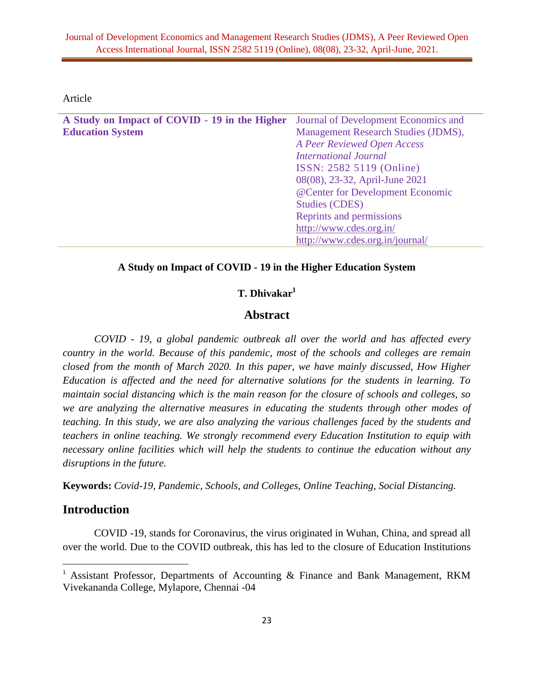Article

| A Study on Impact of COVID - 19 in the Higher | Journal of Development Economics and |
|-----------------------------------------------|--------------------------------------|
| <b>Education System</b>                       | Management Research Studies (JDMS),  |
|                                               | A Peer Reviewed Open Access          |
|                                               | <b>International Journal</b>         |
|                                               | ISSN: 2582 5119 (Online)             |
|                                               | 08(08), 23-32, April-June 2021       |
|                                               | @Center for Development Economic     |
|                                               | <b>Studies (CDES)</b>                |
|                                               | Reprints and permissions             |
|                                               | http://www.cdes.org.in/              |
|                                               | http://www.cdes.org.in/journal/      |

#### **A Study on Impact of COVID - 19 in the Higher Education System**

## **T. Dhivakar<sup>1</sup>**

#### **Abstract**

*COVID - 19, a global pandemic outbreak all over the world and has affected every country in the world. Because of this pandemic, most of the schools and colleges are remain closed from the month of March 2020. In this paper, we have mainly discussed, How Higher Education is affected and the need for alternative solutions for the students in learning. To maintain social distancing which is the main reason for the closure of schools and colleges, so we are analyzing the alternative measures in educating the students through other modes of teaching. In this study, we are also analyzing the various challenges faced by the students and teachers in online teaching. We strongly recommend every Education Institution to equip with necessary online facilities which will help the students to continue the education without any disruptions in the future.* 

**Keywords:** *Covid-19, Pandemic, Schools, and Colleges, Online Teaching, Social Distancing.*

# **Introduction**

 $\overline{a}$ 

COVID -19, stands for Coronavirus, the virus originated in Wuhan, China, and spread all over the world. Due to the COVID outbreak, this has led to the closure of Education Institutions

<sup>&</sup>lt;sup>1</sup> Assistant Professor, Departments of Accounting & Finance and Bank Management, RKM Vivekananda College, Mylapore, Chennai -04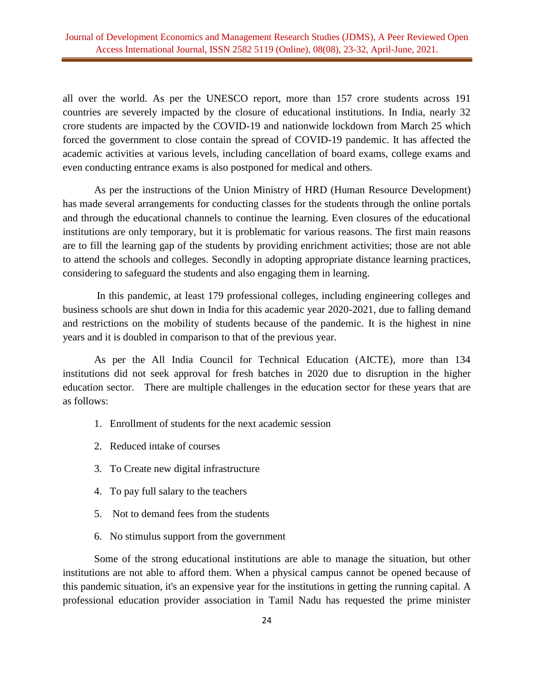all over the world. As per the UNESCO report, more than 157 crore students across 191 countries are severely impacted by the closure of educational institutions. In India, nearly 32 crore students are impacted by the COVID-19 and nationwide lockdown from March 25 which forced the government to close contain the spread of COVID-19 pandemic. It has affected the academic activities at various levels, including cancellation of board exams, college exams and even conducting entrance exams is also postponed for medical and others.

As per the instructions of the Union Ministry of HRD (Human Resource Development) has made several arrangements for conducting classes for the students through the online portals and through the educational channels to continue the learning. Even closures of the educational institutions are only temporary, but it is problematic for various reasons. The first main reasons are to fill the learning gap of the students by providing enrichment activities; those are not able to attend the schools and colleges. Secondly in adopting appropriate distance learning practices, considering to safeguard the students and also engaging them in learning.

In this pandemic, at least 179 professional colleges, including engineering colleges and business schools are shut down in India for this academic year 2020-2021, due to falling demand and restrictions on the mobility of students because of the pandemic. It is the highest in nine years and it is doubled in comparison to that of the previous year.

As per the All India Council for Technical Education (AICTE), more than 134 institutions did not seek approval for fresh batches in 2020 due to disruption in the higher education sector. There are multiple challenges in the education sector for these years that are as follows:

- 1. Enrollment of students for the next academic session
- 2. Reduced intake of courses
- 3. To Create new digital infrastructure
- 4. To pay full salary to the teachers
- 5. Not to demand fees from the students
- 6. No stimulus support from the government

Some of the strong educational institutions are able to manage the situation, but other institutions are not able to afford them. When a physical campus cannot be opened because of this pandemic situation, it's an expensive year for the institutions in getting the running capital. A professional education provider association in Tamil Nadu has requested the prime minister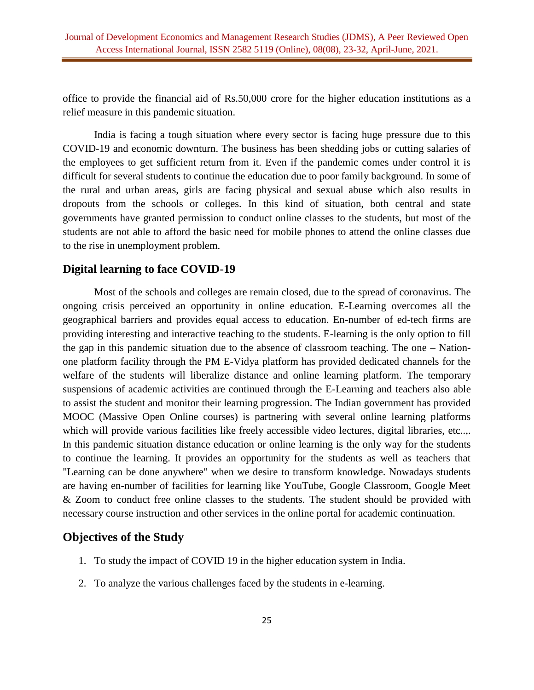office to provide the financial aid of Rs.50,000 crore for the higher education institutions as a relief measure in this pandemic situation.

India is facing a tough situation where every sector is facing huge pressure due to this COVID-19 and economic downturn. The business has been shedding jobs or cutting salaries of the employees to get sufficient return from it. Even if the pandemic comes under control it is difficult for several students to continue the education due to poor family background. In some of the rural and urban areas, girls are facing physical and sexual abuse which also results in dropouts from the schools or colleges. In this kind of situation, both central and state governments have granted permission to conduct online classes to the students, but most of the students are not able to afford the basic need for mobile phones to attend the online classes due to the rise in unemployment problem.

## **Digital learning to face COVID-19**

Most of the schools and colleges are remain closed, due to the spread of coronavirus. The ongoing crisis perceived an opportunity in online education. E-Learning overcomes all the geographical barriers and provides equal access to education. En-number of ed-tech firms are providing interesting and interactive teaching to the students. E-learning is the only option to fill the gap in this pandemic situation due to the absence of classroom teaching. The one – Nationone platform facility through the PM E-Vidya platform has provided dedicated channels for the welfare of the students will liberalize distance and online learning platform. The temporary suspensions of academic activities are continued through the E-Learning and teachers also able to assist the student and monitor their learning progression. The Indian government has provided MOOC (Massive Open Online courses) is partnering with several online learning platforms which will provide various facilities like freely accessible video lectures, digital libraries, etc..,. In this pandemic situation distance education or online learning is the only way for the students to continue the learning. It provides an opportunity for the students as well as teachers that "Learning can be done anywhere" when we desire to transform knowledge. Nowadays students are having en-number of facilities for learning like YouTube, Google Classroom, Google Meet & Zoom to conduct free online classes to the students. The student should be provided with necessary course instruction and other services in the online portal for academic continuation.

## **Objectives of the Study**

- 1. To study the impact of COVID 19 in the higher education system in India.
- 2. To analyze the various challenges faced by the students in e-learning.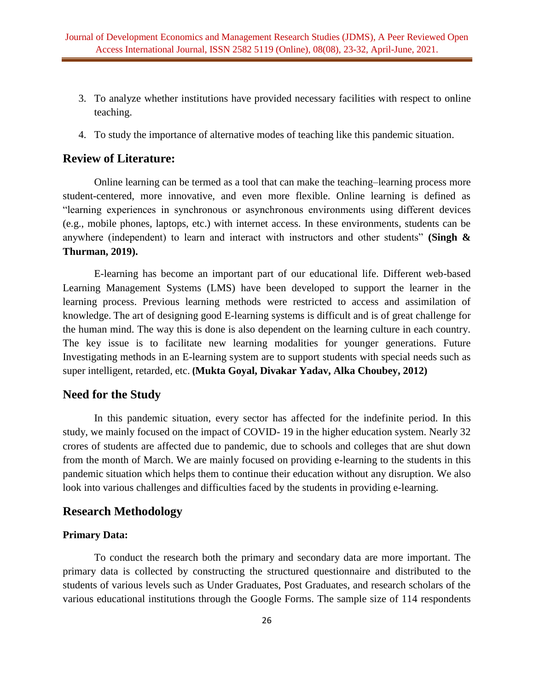- 3. To analyze whether institutions have provided necessary facilities with respect to online teaching.
- 4. To study the importance of alternative modes of teaching like this pandemic situation.

# **Review of Literature:**

Online learning can be termed as a tool that can make the teaching–learning process more student-centered, more innovative, and even more flexible. Online learning is defined as "learning experiences in synchronous or asynchronous environments using different devices (e.g., mobile phones, laptops, etc.) with internet access. In these environments, students can be anywhere (independent) to learn and interact with instructors and other students" **(Singh & Thurman, 2019).**

E-learning has become an important part of our educational life. Different web-based Learning Management Systems (LMS) have been developed to support the learner in the learning process. Previous learning methods were restricted to access and assimilation of knowledge. The art of designing good E-learning systems is difficult and is of great challenge for the human mind. The way this is done is also dependent on the learning culture in each country. The key issue is to facilitate new learning modalities for younger generations. Future Investigating methods in an E-learning system are to support students with special needs such as super intelligent, retarded, etc. **(Mukta Goyal, Divakar Yadav, Alka Choubey, 2012)**

#### **Need for the Study**

In this pandemic situation, every sector has affected for the indefinite period. In this study, we mainly focused on the impact of COVID- 19 in the higher education system. Nearly 32 crores of students are affected due to pandemic, due to schools and colleges that are shut down from the month of March. We are mainly focused on providing e-learning to the students in this pandemic situation which helps them to continue their education without any disruption. We also look into various challenges and difficulties faced by the students in providing e-learning.

#### **Research Methodology**

#### **Primary Data:**

To conduct the research both the primary and secondary data are more important. The primary data is collected by constructing the structured questionnaire and distributed to the students of various levels such as Under Graduates, Post Graduates, and research scholars of the various educational institutions through the Google Forms. The sample size of 114 respondents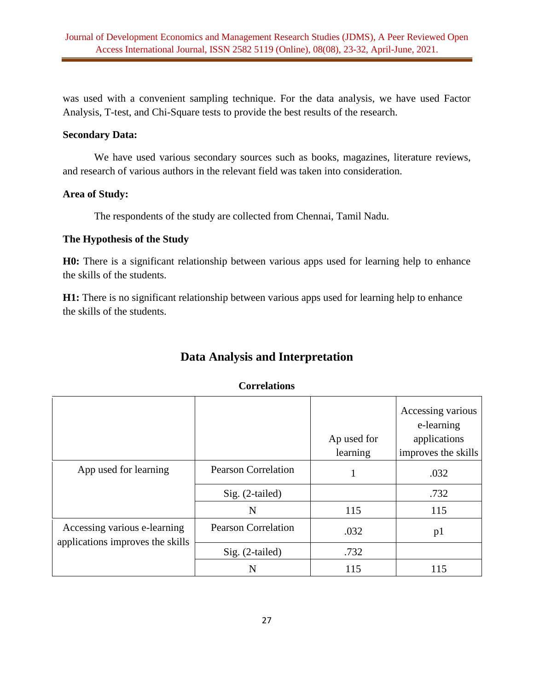was used with a convenient sampling technique. For the data analysis, we have used Factor Analysis, T-test, and Chi-Square tests to provide the best results of the research.

#### **Secondary Data:**

We have used various secondary sources such as books, magazines, literature reviews, and research of various authors in the relevant field was taken into consideration.

## **Area of Study:**

The respondents of the study are collected from Chennai, Tamil Nadu.

# **The Hypothesis of the Study**

**H0:** There is a significant relationship between various apps used for learning help to enhance the skills of the students.

**H1:** There is no significant relationship between various apps used for learning help to enhance the skills of the students.

| <b>Data Analysis and Interpretation</b> |  |
|-----------------------------------------|--|
|-----------------------------------------|--|

#### **Correlations**

|                                                                  |                            | Ap used for<br>learning | Accessing various<br>e-learning<br>applications<br>improves the skills |
|------------------------------------------------------------------|----------------------------|-------------------------|------------------------------------------------------------------------|
| App used for learning                                            | <b>Pearson Correlation</b> |                         | .032                                                                   |
|                                                                  | $Sig. (2-tailed)$          |                         | .732                                                                   |
|                                                                  | N                          | 115                     | 115                                                                    |
| Accessing various e-learning<br>applications improves the skills | <b>Pearson Correlation</b> | .032                    | p1                                                                     |
|                                                                  | Sig. (2-tailed)            | .732                    |                                                                        |
|                                                                  | N                          | 115                     | 115                                                                    |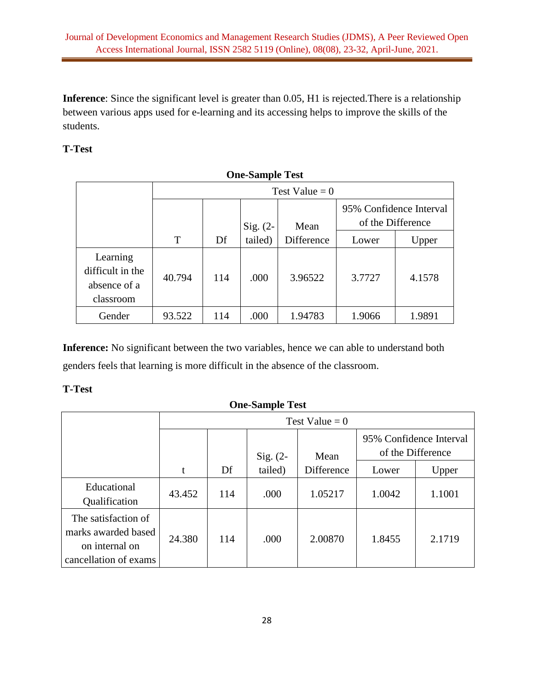**Inference**: Since the significant level is greater than 0.05, H1 is rejected.There is a relationship between various apps used for e-learning and its accessing helps to improve the skills of the students.

# **T-Test**

| <b>One-Sample Test</b>                                    |        |                    |         |            |        |                                              |  |
|-----------------------------------------------------------|--------|--------------------|---------|------------|--------|----------------------------------------------|--|
|                                                           |        | Test Value = $0$   |         |            |        |                                              |  |
|                                                           |        | Sig. $(2-$<br>Mean |         |            |        | 95% Confidence Interval<br>of the Difference |  |
|                                                           | T      | Df                 | tailed) | Difference | Lower  | Upper                                        |  |
| Learning<br>difficult in the<br>absence of a<br>classroom | 40.794 | 114                | .000    | 3.96522    | 3.7727 | 4.1578                                       |  |
| Gender                                                    | 93.522 | 114                | .000    | 1.94783    | 1.9066 | 1.9891                                       |  |

**Inference:** No significant between the two variables, hence we can able to understand both genders feels that learning is more difficult in the absence of the classroom.

# **T-Test**

| <b>One-Sample Test</b>                                                                |        |                  |            |            |                         |                   |
|---------------------------------------------------------------------------------------|--------|------------------|------------|------------|-------------------------|-------------------|
|                                                                                       |        | Test Value = $0$ |            |            |                         |                   |
|                                                                                       |        |                  | $Sig. (2-$ | Mean       | 95% Confidence Interval | of the Difference |
|                                                                                       | t      | Df               | tailed)    | Difference | Lower                   | Upper             |
| Educational<br>Qualification                                                          | 43.452 | 114              | .000       | 1.05217    | 1.0042                  | 1.1001            |
| The satisfaction of<br>marks awarded based<br>on internal on<br>cancellation of exams | 24.380 | 114              | .000       | 2.00870    | 1.8455                  | 2.1719            |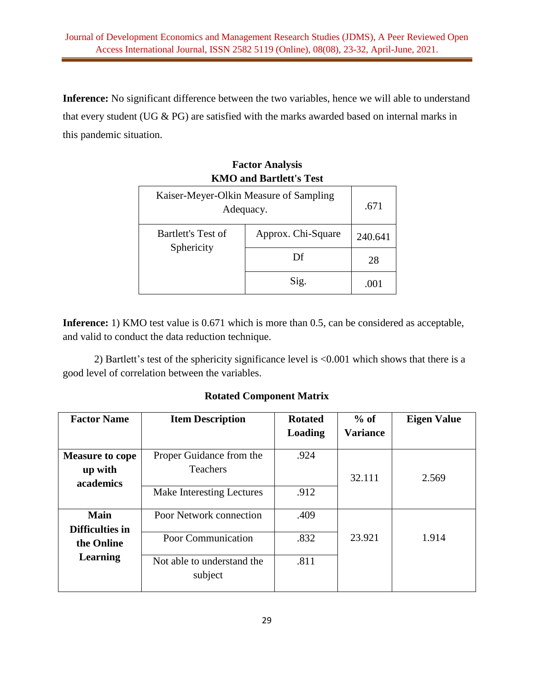**Inference:** No significant difference between the two variables, hence we will able to understand that every student (UG & PG) are satisfied with the marks awarded based on internal marks in this pandemic situation.

# **Factor Analysis KMO and Bartlett's Test**

| Kaiser-Meyer-Olkin Measure of Sampling<br>Adequacy. | .671               |         |
|-----------------------------------------------------|--------------------|---------|
| Bartlett's Test of                                  | Approx. Chi-Square | 240.641 |
| Sphericity                                          | Df                 | 28      |
|                                                     | Sig.               | .OO 1   |

**Inference:** 1) KMO test value is 0.671 which is more than 0.5, can be considered as acceptable, and valid to conduct the data reduction technique.

2) Bartlett's test of the sphericity significance level is <0.001 which shows that there is a good level of correlation between the variables.

# **Rotated Component Matrix**

| <b>Factor Name</b>                | <b>Item Description</b>                     | $%$ of<br><b>Rotated</b> |                 | <b>Eigen Value</b> |  |
|-----------------------------------|---------------------------------------------|--------------------------|-----------------|--------------------|--|
|                                   |                                             | Loading                  | <b>Variance</b> |                    |  |
| <b>Measure to cope</b><br>up with | Proper Guidance from the<br><b>Teachers</b> | .924                     | 32.111          | 2.569              |  |
| academics                         | Make Interesting Lectures                   | .912                     |                 |                    |  |
| <b>Main</b><br>Difficulties in    | Poor Network connection                     | .409                     |                 |                    |  |
| the Online                        | Poor Communication                          | .832                     | 23.921          | 1.914              |  |
| Learning                          | Not able to understand the<br>subject       | .811                     |                 |                    |  |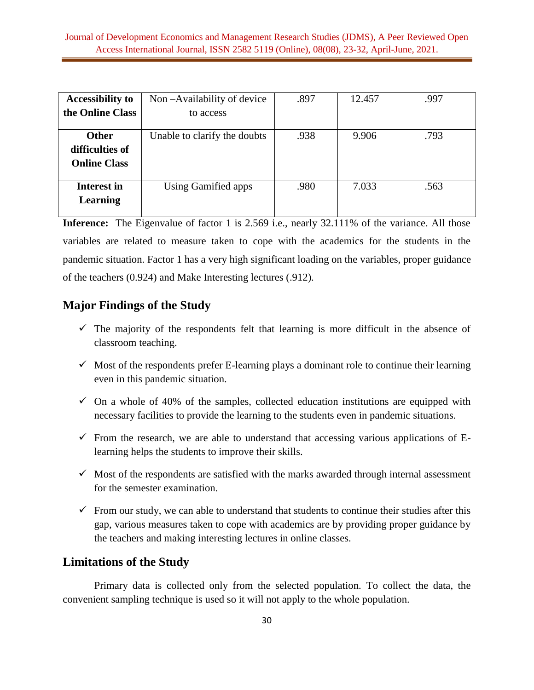| <b>Accessibility to</b>                                | Non-Availability of device   | .897 | 12.457 | .997 |
|--------------------------------------------------------|------------------------------|------|--------|------|
| the Online Class                                       | to access                    |      |        |      |
| <b>Other</b><br>difficulties of<br><b>Online Class</b> | Unable to clarify the doubts | .938 | 9.906  | .793 |
| <b>Interest in</b><br><b>Learning</b>                  | Using Gamified apps          | .980 | 7.033  | .563 |

**Inference:** The Eigenvalue of factor 1 is 2.569 i.e., nearly 32.111% of the variance. All those variables are related to measure taken to cope with the academics for the students in the pandemic situation. Factor 1 has a very high significant loading on the variables, proper guidance of the teachers (0.924) and Make Interesting lectures (.912).

# **Major Findings of the Study**

- $\checkmark$  The majority of the respondents felt that learning is more difficult in the absence of classroom teaching.
- $\checkmark$  Most of the respondents prefer E-learning plays a dominant role to continue their learning even in this pandemic situation.
- $\checkmark$  On a whole of 40% of the samples, collected education institutions are equipped with necessary facilities to provide the learning to the students even in pandemic situations.
- $\checkmark$  From the research, we are able to understand that accessing various applications of Elearning helps the students to improve their skills.
- $\checkmark$  Most of the respondents are satisfied with the marks awarded through internal assessment for the semester examination.
- $\checkmark$  From our study, we can able to understand that students to continue their studies after this gap, various measures taken to cope with academics are by providing proper guidance by the teachers and making interesting lectures in online classes.

# **Limitations of the Study**

Primary data is collected only from the selected population. To collect the data, the convenient sampling technique is used so it will not apply to the whole population.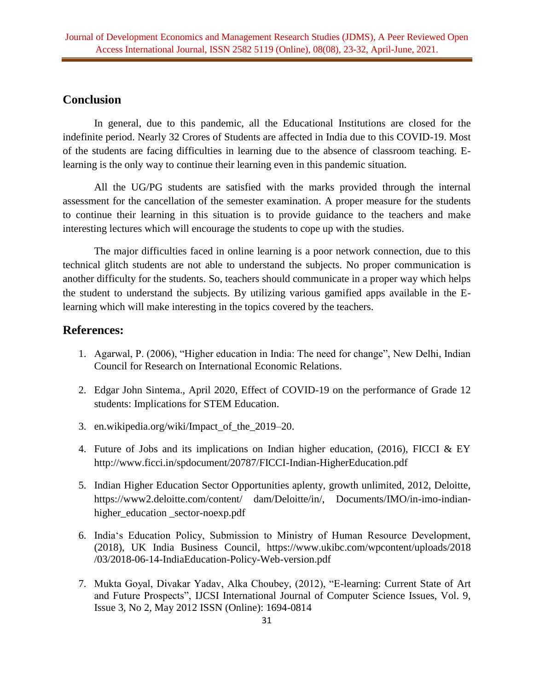# **Conclusion**

In general, due to this pandemic, all the Educational Institutions are closed for the indefinite period. Nearly 32 Crores of Students are affected in India due to this COVID-19. Most of the students are facing difficulties in learning due to the absence of classroom teaching. Elearning is the only way to continue their learning even in this pandemic situation.

All the UG/PG students are satisfied with the marks provided through the internal assessment for the cancellation of the semester examination. A proper measure for the students to continue their learning in this situation is to provide guidance to the teachers and make interesting lectures which will encourage the students to cope up with the studies.

The major difficulties faced in online learning is a poor network connection, due to this technical glitch students are not able to understand the subjects. No proper communication is another difficulty for the students. So, teachers should communicate in a proper way which helps the student to understand the subjects. By utilizing various gamified apps available in the Elearning which will make interesting in the topics covered by the teachers.

# **References:**

- 1. Agarwal, P. (2006), "Higher education in India: The need for change", New Delhi, Indian Council for Research on International Economic Relations.
- 2. Edgar John Sintema., April 2020, Effect of COVID-19 on the performance of Grade 12 students: Implications for STEM Education.
- 3. en.wikipedia.org/wiki/Impact\_of\_the\_2019–20.
- 4. Future of Jobs and its implications on Indian higher education, (2016), FICCI & EY [http://www.ficci.in/spdocument/20787/FICCI-Indian-HigherEducation.pdf](http://www.ficci.in/sp%20document/20787/FICCI-Indian-HigherEducation.pdf)
- 5. Indian Higher Education Sector Opportunities aplenty, growth unlimited, 2012, Deloitte, https://www2.deloitte.com/content/ dam/Deloitte/in/, Documents/IMO/in-imo-indianhigher\_education \_sector-noexp.pdf
- 6. India's Education Policy, Submission to Ministry of Human Resource Development, (2018), UK India Business Council, [https://www.ukibc.com/wpcontent/uploads/2018](https://www.ukibc.com/wpcontent/uploads/2018%20/03/2018-06-14-IndiaEducation-Policy-Web-version.pdf)  [/03/2018-06-14-IndiaEducation-Policy-Web-version.pdf](https://www.ukibc.com/wpcontent/uploads/2018%20/03/2018-06-14-IndiaEducation-Policy-Web-version.pdf)
- 7. Mukta Goyal, Divakar Yadav, Alka Choubey, (2012), "E-learning: Current State of Art and Future Prospects", IJCSI International Journal of Computer Science Issues, Vol. 9, Issue 3, No 2, May 2012 ISSN (Online): 1694-0814